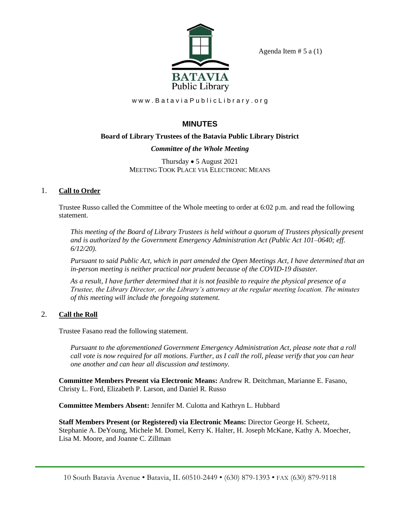

Agenda Item  $# 5$  a  $(1)$ 

www.BataviaPublicLibrary.org

# **MINUTES**

## **Board of Library Trustees of the Batavia Public Library District**

## *Committee of the Whole Meeting*

Thursday • 5 August 2021 MEETING TOOK PLACE VIA ELECTRONIC MEANS

## 1. **Call to Order**

Trustee Russo called the Committee of the Whole meeting to order at 6:02 p.m. and read the following statement.

*This meeting of the Board of Library Trustees is held without a quorum of Trustees physically present and is authorized by the Government Emergency Administration Act (Public Act 101–0640; eff. 6/12/20).*

*Pursuant to said Public Act, which in part amended the Open Meetings Act, I have determined that an in-person meeting is neither practical nor prudent because of the COVID-19 disaster.*

*As a result, I have further determined that it is not feasible to require the physical presence of a Trustee, the Library Director, or the Library's attorney at the regular meeting location. The minutes of this meeting will include the foregoing statement.*

## 2. **Call the Roll**

Trustee Fasano read the following statement.

*Pursuant to the aforementioned Government Emergency Administration Act, please note that a roll call vote is now required for all motions. Further, as I call the roll, please verify that you can hear one another and can hear all discussion and testimony.*

**Committee Members Present via Electronic Means:** Andrew R. Deitchman, Marianne E. Fasano, Christy L. Ford, Elizabeth P. Larson, and Daniel R. Russo

**Committee Members Absent:** Jennifer M. Culotta and Kathryn L. Hubbard

**Staff Members Present (or Registered) via Electronic Means:** Director George H. Scheetz, Stephanie A. DeYoung, Michele M. Domel, Kerry K. Halter, H. Joseph McKane, Kathy A. Moecher, Lisa M. Moore, and Joanne C. Zillman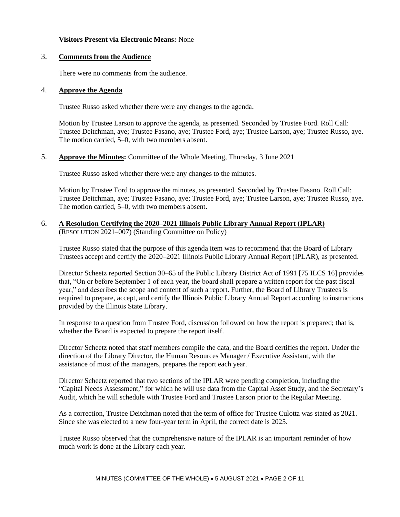## **Visitors Present via Electronic Means:** None

## 3. **Comments from the Audience**

There were no comments from the audience.

#### 4. **Approve the Agenda**

Trustee Russo asked whether there were any changes to the agenda.

Motion by Trustee Larson to approve the agenda, as presented. Seconded by Trustee Ford. Roll Call: Trustee Deitchman, aye; Trustee Fasano, aye; Trustee Ford, aye; Trustee Larson, aye; Trustee Russo, aye. The motion carried, 5–0, with two members absent.

## 5. **Approve the Minutes:** Committee of the Whole Meeting, Thursday, 3 June 2021

Trustee Russo asked whether there were any changes to the minutes.

Motion by Trustee Ford to approve the minutes, as presented. Seconded by Trustee Fasano. Roll Call: Trustee Deitchman, aye; Trustee Fasano, aye; Trustee Ford, aye; Trustee Larson, aye; Trustee Russo, aye. The motion carried, 5–0, with two members absent.

### 6. **A Resolution Certifying the 2020–2021 Illinois Public Library Annual Report (IPLAR)**  (RESOLUTION 2021–007) (Standing Committee on Policy)

Trustee Russo stated that the purpose of this agenda item was to recommend that the Board of Library Trustees accept and certify the 2020–2021 Illinois Public Library Annual Report (IPLAR), as presented.

Director Scheetz reported Section 30–65 of the Public Library District Act of 1991 [75 ILCS 16] provides that, "On or before September 1 of each year, the board shall prepare a written report for the past fiscal year," and describes the scope and content of such a report. Further, the Board of Library Trustees is required to prepare, accept, and certify the Illinois Public Library Annual Report according to instructions provided by the Illinois State Library.

In response to a question from Trustee Ford, discussion followed on how the report is prepared; that is, whether the Board is expected to prepare the report itself.

Director Scheetz noted that staff members compile the data, and the Board certifies the report. Under the direction of the Library Director, the Human Resources Manager / Executive Assistant, with the assistance of most of the managers, prepares the report each year.

Director Scheetz reported that two sections of the IPLAR were pending completion, including the "Capital Needs Assessment," for which he will use data from the Capital Asset Study, and the Secretary's Audit, which he will schedule with Trustee Ford and Trustee Larson prior to the Regular Meeting.

As a correction, Trustee Deitchman noted that the term of office for Trustee Culotta was stated as 2021. Since she was elected to a new four-year term in April, the correct date is 2025.

Trustee Russo observed that the comprehensive nature of the IPLAR is an important reminder of how much work is done at the Library each year.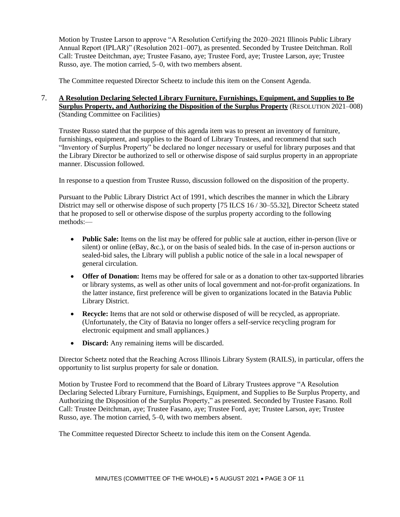Motion by Trustee Larson to approve "A Resolution Certifying the 2020–2021 Illinois Public Library Annual Report (IPLAR)" (Resolution 2021–007), as presented. Seconded by Trustee Deitchman. Roll Call: Trustee Deitchman, aye; Trustee Fasano, aye; Trustee Ford, aye; Trustee Larson, aye; Trustee Russo, aye. The motion carried, 5–0, with two members absent.

The Committee requested Director Scheetz to include this item on the Consent Agenda.

## 7. **A Resolution Declaring Selected Library Furniture, Furnishings, Equipment, and Supplies to Be Surplus Property, and Authorizing the Disposition of the Surplus Property** (RESOLUTION 2021–008) (Standing Committee on Facilities)

Trustee Russo stated that the purpose of this agenda item was to present an inventory of furniture, furnishings, equipment, and supplies to the Board of Library Trustees, and recommend that such "Inventory of Surplus Property" be declared no longer necessary or useful for library purposes and that the Library Director be authorized to sell or otherwise dispose of said surplus property in an appropriate manner. Discussion followed.

In response to a question from Trustee Russo, discussion followed on the disposition of the property.

Pursuant to the Public Library District Act of 1991, which describes the manner in which the Library District may sell or otherwise dispose of such property [75 ILCS 16 / 30–55.32], Director Scheetz stated that he proposed to sell or otherwise dispose of the surplus property according to the following methods:—

- **Public Sale:** Items on the list may be offered for public sale at auction, either in-person (live or silent) or online (eBay, &c.), or on the basis of sealed bids. In the case of in-person auctions or sealed-bid sales, the Library will publish a public notice of the sale in a local newspaper of general circulation.
- **Offer of Donation:** Items may be offered for sale or as a donation to other tax-supported libraries or library systems, as well as other units of local government and not-for-profit organizations. In the latter instance, first preference will be given to organizations located in the Batavia Public Library District.
- **Recycle:** Items that are not sold or otherwise disposed of will be recycled, as appropriate. (Unfortunately, the City of Batavia no longer offers a self-service recycling program for electronic equipment and small appliances.)
- **Discard:** Any remaining items will be discarded.

Director Scheetz noted that the Reaching Across Illinois Library System (RAILS), in particular, offers the opportunity to list surplus property for sale or donation.

Motion by Trustee Ford to recommend that the Board of Library Trustees approve "A Resolution Declaring Selected Library Furniture, Furnishings, Equipment, and Supplies to Be Surplus Property, and Authorizing the Disposition of the Surplus Property," as presented. Seconded by Trustee Fasano. Roll Call: Trustee Deitchman, aye; Trustee Fasano, aye; Trustee Ford, aye; Trustee Larson, aye; Trustee Russo, aye. The motion carried, 5–0, with two members absent.

The Committee requested Director Scheetz to include this item on the Consent Agenda.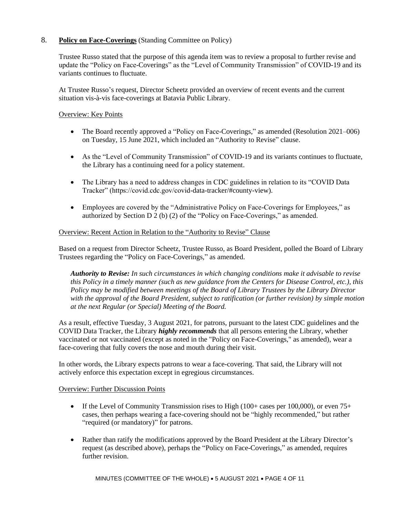## 8. **Policy on Face-Coverings** (Standing Committee on Policy)

Trustee Russo stated that the purpose of this agenda item was to review a proposal to further revise and update the "Policy on Face-Coverings" as the "Level of Community Transmission" of COVID-19 and its variants continues to fluctuate.

At Trustee Russo's request, Director Scheetz provided an overview of recent events and the current situation vis-à-vis face-coverings at Batavia Public Library.

## Overview: Key Points

- The Board recently approved a "Policy on Face-Coverings," as amended (Resolution 2021–006) on Tuesday, 15 June 2021, which included an "Authority to Revise" clause.
- As the "Level of Community Transmission" of COVID-19 and its variants continues to fluctuate, the Library has a continuing need for a policy statement.
- The Library has a need to address changes in CDC guidelines in relation to its "COVID Data" Tracker" (https://covid.cdc.gov/covid-data-tracker/#county-view).
- Employees are covered by the "Administrative Policy on Face-Coverings for Employees," as authorized by Section D 2 (b) (2) of the "Policy on Face-Coverings," as amended.

## Overview: Recent Action in Relation to the "Authority to Revise" Clause

Based on a request from Director Scheetz, Trustee Russo, as Board President, polled the Board of Library Trustees regarding the "Policy on Face-Coverings," as amended.

*Authority to Revise: In such circumstances in which changing conditions make it advisable to revise this Policy in a timely manner (such as new guidance from the Centers for Disease Control, etc.), this Policy may be modified between meetings of the Board of Library Trustees by the Library Director with the approval of the Board President, subject to ratification (or further revision) by simple motion at the next Regular (or Special) Meeting of the Board.*

As a result, effective Tuesday, 3 August 2021, for patrons, pursuant to the latest CDC guidelines and the COVID Data Tracker, the Library *highly recommends* that all persons entering the Library, whether vaccinated or not vaccinated (except as noted in the "Policy on Face-Coverings," as amended), wear a face-covering that fully covers the nose and mouth during their visit.

In other words, the Library expects patrons to wear a face-covering. That said, the Library will not actively enforce this expectation except in egregious circumstances.

## Overview: Further Discussion Points

- If the Level of Community Transmission rises to High (100+ cases per 100,000), or even 75+ cases, then perhaps wearing a face-covering should not be "highly recommended," but rather "required (or mandatory)" for patrons.
- Rather than ratify the modifications approved by the Board President at the Library Director's request (as described above), perhaps the "Policy on Face-Coverings," as amended, requires further revision.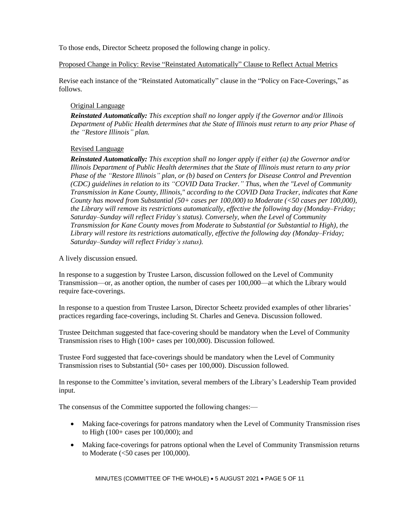To those ends, Director Scheetz proposed the following change in policy.

## Proposed Change in Policy: Revise "Reinstated Automatically" Clause to Reflect Actual Metrics

Revise each instance of the "Reinstated Automatically" clause in the "Policy on Face-Coverings," as follows.

## Original Language

*Reinstated Automatically: This exception shall no longer apply if the Governor and/or Illinois Department of Public Health determines that the State of Illinois must return to any prior Phase of the "Restore Illinois" plan.*

## Revised Language

*Reinstated Automatically: This exception shall no longer apply if either (a) the Governor and/or Illinois Department of Public Health determines that the State of Illinois must return to any prior Phase of the "Restore Illinois" plan, or (b) based on Centers for Disease Control and Prevention (CDC) guidelines in relation to its "COVID Data Tracker." Thus, when the "Level of Community Transmission in Kane County, Illinois," according to the COVID Data Tracker, indicates that Kane County has moved from Substantial (50+ cases per 100,000) to Moderate (<50 cases per 100,000), the Library will remove its restrictions automatically, effective the following day (Monday–Friday; Saturday–Sunday will reflect Friday's status). Conversely, when the Level of Community Transmission for Kane County moves from Moderate to Substantial (or Substantial to High), the Library will restore its restrictions automatically, effective the following day (Monday–Friday; Saturday–Sunday will reflect Friday's status).*

A lively discussion ensued.

In response to a suggestion by Trustee Larson, discussion followed on the Level of Community Transmission—or, as another option, the number of cases per 100,000—at which the Library would require face-coverings.

In response to a question from Trustee Larson, Director Scheetz provided examples of other libraries' practices regarding face-coverings, including St. Charles and Geneva. Discussion followed.

Trustee Deitchman suggested that face-covering should be mandatory when the Level of Community Transmission rises to High (100+ cases per 100,000). Discussion followed.

Trustee Ford suggested that face-coverings should be mandatory when the Level of Community Transmission rises to Substantial (50+ cases per 100,000). Discussion followed.

In response to the Committee's invitation, several members of the Library's Leadership Team provided input.

The consensus of the Committee supported the following changes:—

- Making face-coverings for patrons mandatory when the Level of Community Transmission rises to High (100+ cases per 100,000); and
- Making face-coverings for patrons optional when the Level of Community Transmission returns to Moderate  $\left( < 50 \text{ cases per } 100,000 \right)$ .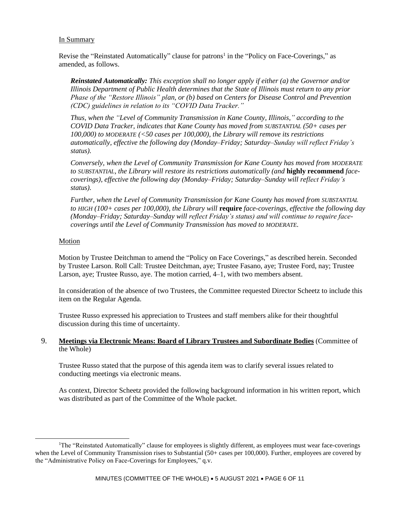## In Summary

Revise the "Reinstated Automatically" clause for patrons<sup>1</sup> in the "Policy on Face-Coverings," as amended, as follows.

*Reinstated Automatically: This exception shall no longer apply if either (a) the Governor and/or Illinois Department of Public Health determines that the State of Illinois must return to any prior Phase of the "Restore Illinois" plan, or (b) based on Centers for Disease Control and Prevention (CDC) guidelines in relation to its "COVID Data Tracker."* 

*Thus, when the "Level of Community Transmission in Kane County, Illinois," according to the COVID Data Tracker, indicates that Kane County has moved from SUBSTANTIAL (50+ cases per 100,000) to MODERATE (<50 cases per 100,000), the Library will remove its restrictions automatically, effective the following day (Monday–Friday; Saturday–Sunday will reflect Friday's status).*

*Conversely, when the Level of Community Transmission for Kane County has moved from MODERATE to SUBSTANTIAL, the Library will restore its restrictions automatically (and* **highly recommend** *facecoverings), effective the following day (Monday–Friday; Saturday–Sunday will reflect Friday's status).* 

*Further, when the Level of Community Transmission for Kane County has moved from SUBSTANTIAL to HIGH (100+ cases per 100,000), the Library will* **require** *face-coverings, effective the following day (Monday–Friday; Saturday–Sunday will reflect Friday's status) and will continue to require facecoverings until the Level of Community Transmission has moved to MODERATE.*

#### Motion

Motion by Trustee Deitchman to amend the "Policy on Face Coverings," as described herein. Seconded by Trustee Larson. Roll Call: Trustee Deitchman, aye; Trustee Fasano, aye; Trustee Ford, nay; Trustee Larson, aye; Trustee Russo, aye. The motion carried, 4–1, with two members absent.

In consideration of the absence of two Trustees, the Committee requested Director Scheetz to include this item on the Regular Agenda.

Trustee Russo expressed his appreciation to Trustees and staff members alike for their thoughtful discussion during this time of uncertainty.

## 9. **Meetings via Electronic Means: Board of Library Trustees and Subordinate Bodies** (Committee of the Whole)

Trustee Russo stated that the purpose of this agenda item was to clarify several issues related to conducting meetings via electronic means.

As context, Director Scheetz provided the following background information in his written report, which was distributed as part of the Committee of the Whole packet.

<sup>&</sup>lt;sup>1</sup>The "Reinstated Automatically" clause for employees is slightly different, as employees must wear face-coverings when the Level of Community Transmission rises to Substantial (50+ cases per 100,000). Further, employees are covered by the "Administrative Policy on Face-Coverings for Employees," q.v.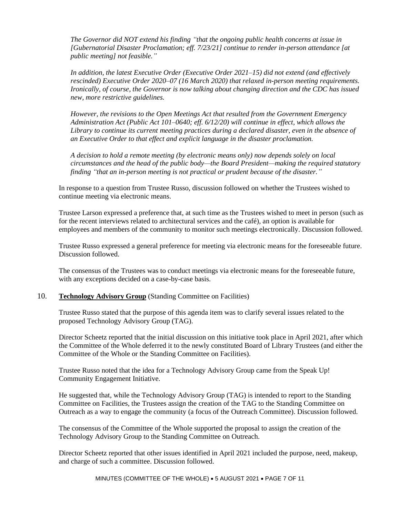*The Governor did NOT extend his finding "that the ongoing public health concerns at issue in [Gubernatorial Disaster Proclamation; eff. 7/23/21] continue to render in-person attendance [at public meeting] not feasible."*

*In addition, the latest Executive Order (Executive Order 2021–15) did not extend (and effectively rescinded) Executive Order 2020–07 (16 March 2020) that relaxed in-person meeting requirements. Ironically, of course, the Governor is now talking about changing direction and the CDC has issued new, more restrictive guidelines.*

*However, the revisions to the Open Meetings Act that resulted from the Government Emergency Administration Act (Public Act 101–0640; eff. 6/12/20) will continue in effect, which allows the Library to continue its current meeting practices during a declared disaster, even in the absence of an Executive Order to that effect and explicit language in the disaster proclamation.*

*A decision to hold a remote meeting (by electronic means only) now depends solely on local circumstances and the head of the public body—the Board President—making the required statutory finding "that an in-person meeting is not practical or prudent because of the disaster."*

In response to a question from Trustee Russo, discussion followed on whether the Trustees wished to continue meeting via electronic means.

Trustee Larson expressed a preference that, at such time as the Trustees wished to meet in person (such as for the recent interviews related to architectural services and the café), an option is available for employees and members of the community to monitor such meetings electronically. Discussion followed.

Trustee Russo expressed a general preference for meeting via electronic means for the foreseeable future. Discussion followed.

The consensus of the Trustees was to conduct meetings via electronic means for the foreseeable future, with any exceptions decided on a case-by-case basis.

#### 10. **Technology Advisory Group** (Standing Committee on Facilities)

Trustee Russo stated that the purpose of this agenda item was to clarify several issues related to the proposed Technology Advisory Group (TAG).

Director Scheetz reported that the initial discussion on this initiative took place in April 2021, after which the Committee of the Whole deferred it to the newly constituted Board of Library Trustees (and either the Committee of the Whole or the Standing Committee on Facilities).

Trustee Russo noted that the idea for a Technology Advisory Group came from the Speak Up! Community Engagement Initiative.

He suggested that, while the Technology Advisory Group (TAG) is intended to report to the Standing Committee on Facilities, the Trustees assign the creation of the TAG to the Standing Committee on Outreach as a way to engage the community (a focus of the Outreach Committee). Discussion followed.

The consensus of the Committee of the Whole supported the proposal to assign the creation of the Technology Advisory Group to the Standing Committee on Outreach.

Director Scheetz reported that other issues identified in April 2021 included the purpose, need, makeup, and charge of such a committee. Discussion followed.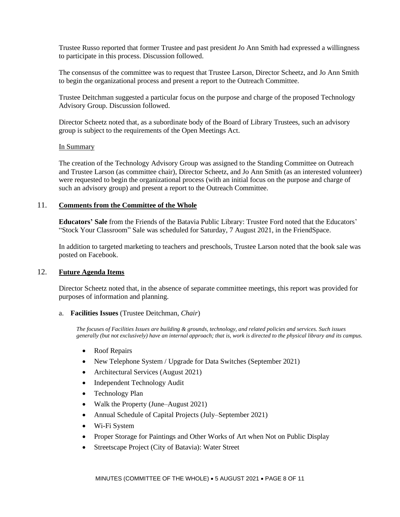Trustee Russo reported that former Trustee and past president Jo Ann Smith had expressed a willingness to participate in this process. Discussion followed.

The consensus of the committee was to request that Trustee Larson, Director Scheetz, and Jo Ann Smith to begin the organizational process and present a report to the Outreach Committee.

Trustee Deitchman suggested a particular focus on the purpose and charge of the proposed Technology Advisory Group. Discussion followed.

Director Scheetz noted that, as a subordinate body of the Board of Library Trustees, such an advisory group is subject to the requirements of the Open Meetings Act.

## In Summary

The creation of the Technology Advisory Group was assigned to the Standing Committee on Outreach and Trustee Larson (as committee chair), Director Scheetz, and Jo Ann Smith (as an interested volunteer) were requested to begin the organizational process (with an initial focus on the purpose and charge of such an advisory group) and present a report to the Outreach Committee.

## 11. **Comments from the Committee of the Whole**

**Educators' Sale** from the Friends of the Batavia Public Library: Trustee Ford noted that the Educators' "Stock Your Classroom" Sale was scheduled for Saturday, 7 August 2021, in the FriendSpace.

In addition to targeted marketing to teachers and preschools, Trustee Larson noted that the book sale was posted on Facebook.

#### 12. **Future Agenda Items**

Director Scheetz noted that, in the absence of separate committee meetings, this report was provided for purposes of information and planning.

#### a. **Facilities Issues** (Trustee Deitchman, *Chair*)

*The focuses of Facilities Issues are building & grounds, technology, and related policies and services. Such issues generally (but not exclusively) have an internal approach; that is, work is directed to the physical library and its campus.*

- Roof Repairs
- New Telephone System / Upgrade for Data Switches (September 2021)
- Architectural Services (August 2021)
- Independent Technology Audit
- Technology Plan
- Walk the Property (June–August 2021)
- Annual Schedule of Capital Projects (July–September 2021)
- Wi-Fi System
- Proper Storage for Paintings and Other Works of Art when Not on Public Display
- Streetscape Project (City of Batavia): Water Street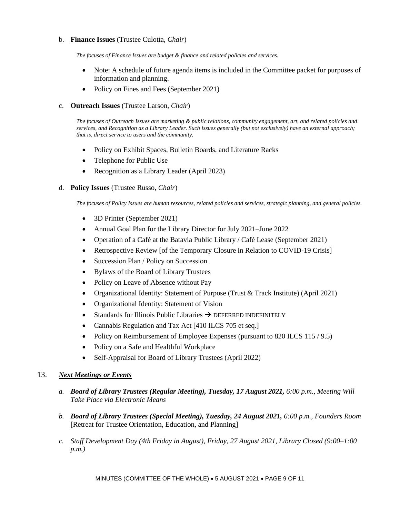### b. **Finance Issues** (Trustee Culotta, *Chair*)

*The focuses of Finance Issues are budget & finance and related policies and services.*

- Note: A schedule of future agenda items is included in the Committee packet for purposes of information and planning.
- Policy on Fines and Fees (September 2021)

#### c. **Outreach Issues** (Trustee Larson, *Chair*)

*The focuses of Outreach Issues are marketing & public relations, community engagement, art, and related policies and services, and Recognition as a Library Leader. Such issues generally (but not exclusively) have an external approach; that is, direct service to users and the community.*

- Policy on Exhibit Spaces, Bulletin Boards, and Literature Racks
- Telephone for Public Use
- Recognition as a Library Leader (April 2023)

#### d. **Policy Issues** (Trustee Russo, *Chair*)

*The focuses of Policy Issues are human resources, related policies and services, strategic planning, and general policies.*

- 3D Printer (September 2021)
- Annual Goal Plan for the Library Director for July 2021–June 2022
- Operation of a Café at the Batavia Public Library / Café Lease (September 2021)
- Retrospective Review [of the Temporary Closure in Relation to COVID-19 Crisis]
- Succession Plan / Policy on Succession
- Bylaws of the Board of Library Trustees
- Policy on Leave of Absence without Pay
- Organizational Identity: Statement of Purpose (Trust & Track Institute) (April 2021)
- Organizational Identity: Statement of Vision
- Standards for Illinois Public Libraries  $\rightarrow$  DEFERRED INDEFINITELY
- Cannabis Regulation and Tax Act [410 ILCS 705 et seq.]
- Policy on Reimbursement of Employee Expenses (pursuant to 820 ILCS 115 / 9.5)
- Policy on a Safe and Healthful Workplace
- Self-Appraisal for Board of Library Trustees (April 2022)

## 13. *Next Meetings or Events*

- *a. Board of Library Trustees (Regular Meeting), Tuesday, 17 August 2021, 6:00 p.m., Meeting Will Take Place via Electronic Means*
- *b. Board of Library Trustees (Special Meeting), Tuesday, 24 August 2021, 6:00 p.m., Founders Room*  [Retreat for Trustee Orientation, Education, and Planning]
- *c. Staff Development Day (4th Friday in August), Friday, 27 August 2021, Library Closed (9:00–1:00 p.m.)*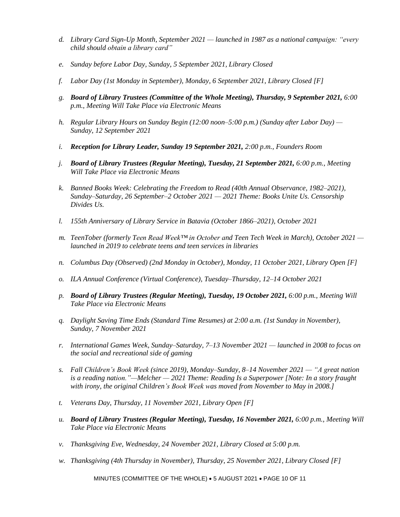- *d. Library Card Sign-Up Month, September 2021 — launched in 1987 as a national campaign: "every child should obtain a library card"*
- *e. Sunday before Labor Day, Sunday, 5 September 2021, Library Closed*
- *f. Labor Day (1st Monday in September), Monday, 6 September 2021, Library Closed [F]*
- *g. Board of Library Trustees (Committee of the Whole Meeting), Thursday, 9 September 2021, 6:00 p.m., Meeting Will Take Place via Electronic Means*
- *h. Regular Library Hours on Sunday Begin (12:00 noon–5:00 p.m.) (Sunday after Labor Day) — Sunday, 12 September 2021*
- *i. Reception for Library Leader, Sunday 19 September 2021, 2:00 p.m., Founders Room*
- *j. Board of Library Trustees (Regular Meeting), Tuesday, 21 September 2021, 6:00 p.m., Meeting Will Take Place via Electronic Means*
- *k. Banned Books Week: Celebrating the Freedom to Read (40th Annual Observance, 1982–2021), Sunday–Saturday, 26 September–2 October 2021 — 2021 Theme: Books Unite Us. Censorship Divides Us.*
- *l. 155th Anniversary of Library Service in Batavia (October 1866–2021), October 2021*
- *m. TeenTober (formerly Teen Read Week™ in October and Teen Tech Week in March), October 2021 launched in 2019 to celebrate teens and teen services in libraries*
- *n. Columbus Day (Observed) (2nd Monday in October), Monday, 11 October 2021, Library Open [F]*
- *o. ILA Annual Conference (Virtual Conference), Tuesday–Thursday, 12–14 October 2021*
- *p. Board of Library Trustees (Regular Meeting), Tuesday, 19 October 2021, 6:00 p.m., Meeting Will Take Place via Electronic Means*
- *q. Daylight Saving Time Ends (Standard Time Resumes) at 2:00 a.m. (1st Sunday in November), Sunday, 7 November 2021*
- *r. International Games Week, Sunday–Saturday, 7–13 November 2021 — launched in 2008 to focus on the social and recreational side of gaming*
- *s. Fall Children's Book Week (since 2019), Monday–Sunday, 8–14 November 2021 — "A great nation is a reading nation."—Melcher — 2021 Theme: Reading Is a Superpower [Note: In a story fraught with irony, the original Children's Book Week was moved from November to May in 2008.]*
- *t. Veterans Day, Thursday, 11 November 2021, Library Open [F]*
- *u. Board of Library Trustees (Regular Meeting), Tuesday, 16 November 2021, 6:00 p.m., Meeting Will Take Place via Electronic Means*
- *v. Thanksgiving Eve, Wednesday, 24 November 2021, Library Closed at 5:00 p.m.*
- *w. Thanksgiving (4th Thursday in November), Thursday, 25 November 2021, Library Closed [F]*

MINUTES (COMMITTEE OF THE WHOLE) • 5 AUGUST 2021 • PAGE 10 OF 11